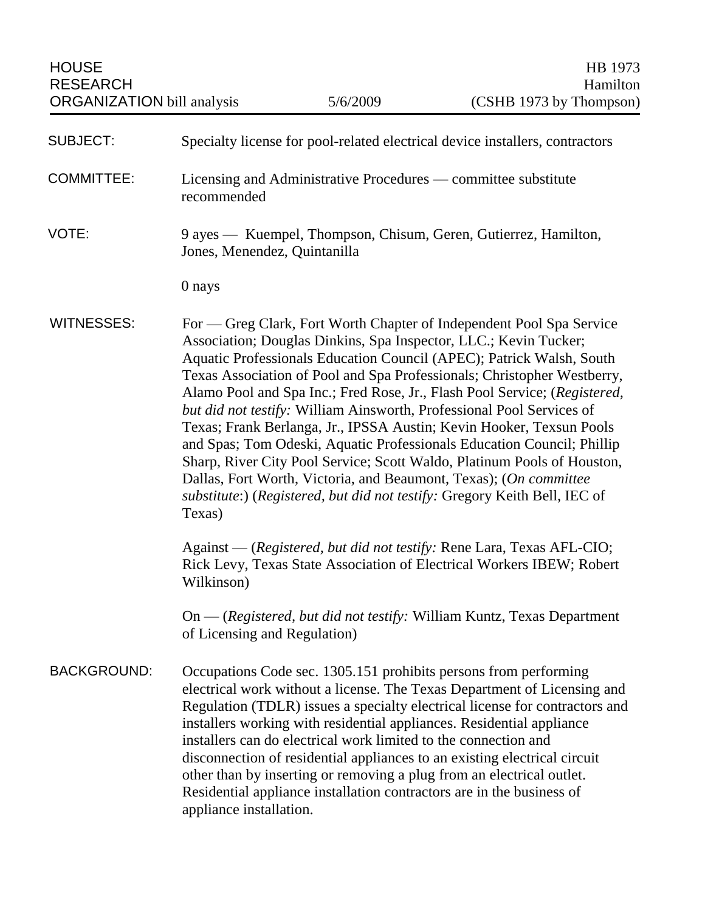| <b>SUBJECT:</b>    | Specialty license for pool-related electrical device installers, contractors                                                                                                                                                                                                                                                                                                                                                                                                                                                                                                                                                                                                                                                                                                                                                               |
|--------------------|--------------------------------------------------------------------------------------------------------------------------------------------------------------------------------------------------------------------------------------------------------------------------------------------------------------------------------------------------------------------------------------------------------------------------------------------------------------------------------------------------------------------------------------------------------------------------------------------------------------------------------------------------------------------------------------------------------------------------------------------------------------------------------------------------------------------------------------------|
| <b>COMMITTEE:</b>  | Licensing and Administrative Procedures — committee substitute<br>recommended                                                                                                                                                                                                                                                                                                                                                                                                                                                                                                                                                                                                                                                                                                                                                              |
| VOTE:              | 9 ayes — Kuempel, Thompson, Chisum, Geren, Gutierrez, Hamilton,<br>Jones, Menendez, Quintanilla                                                                                                                                                                                                                                                                                                                                                                                                                                                                                                                                                                                                                                                                                                                                            |
|                    | 0 nays                                                                                                                                                                                                                                                                                                                                                                                                                                                                                                                                                                                                                                                                                                                                                                                                                                     |
| <b>WITNESSES:</b>  | For — Greg Clark, Fort Worth Chapter of Independent Pool Spa Service<br>Association; Douglas Dinkins, Spa Inspector, LLC.; Kevin Tucker;<br>Aquatic Professionals Education Council (APEC); Patrick Walsh, South<br>Texas Association of Pool and Spa Professionals; Christopher Westberry,<br>Alamo Pool and Spa Inc.; Fred Rose, Jr., Flash Pool Service; (Registered,<br>but did not testify: William Ainsworth, Professional Pool Services of<br>Texas; Frank Berlanga, Jr., IPSSA Austin; Kevin Hooker, Texsun Pools<br>and Spas; Tom Odeski, Aquatic Professionals Education Council; Phillip<br>Sharp, River City Pool Service; Scott Waldo, Platinum Pools of Houston,<br>Dallas, Fort Worth, Victoria, and Beaumont, Texas); (On committee<br>substitute:) (Registered, but did not testify: Gregory Keith Bell, IEC of<br>Texas) |
|                    | Against — (Registered, but did not testify: Rene Lara, Texas AFL-CIO;<br>Rick Levy, Texas State Association of Electrical Workers IBEW; Robert<br>Wilkinson)                                                                                                                                                                                                                                                                                                                                                                                                                                                                                                                                                                                                                                                                               |
|                    | On — (Registered, but did not testify: William Kuntz, Texas Department<br>of Licensing and Regulation)                                                                                                                                                                                                                                                                                                                                                                                                                                                                                                                                                                                                                                                                                                                                     |
| <b>BACKGROUND:</b> | Occupations Code sec. 1305.151 prohibits persons from performing<br>electrical work without a license. The Texas Department of Licensing and<br>Regulation (TDLR) issues a specialty electrical license for contractors and<br>installers working with residential appliances. Residential appliance<br>installers can do electrical work limited to the connection and<br>disconnection of residential appliances to an existing electrical circuit<br>other than by inserting or removing a plug from an electrical outlet.<br>Residential appliance installation contractors are in the business of<br>appliance installation.                                                                                                                                                                                                          |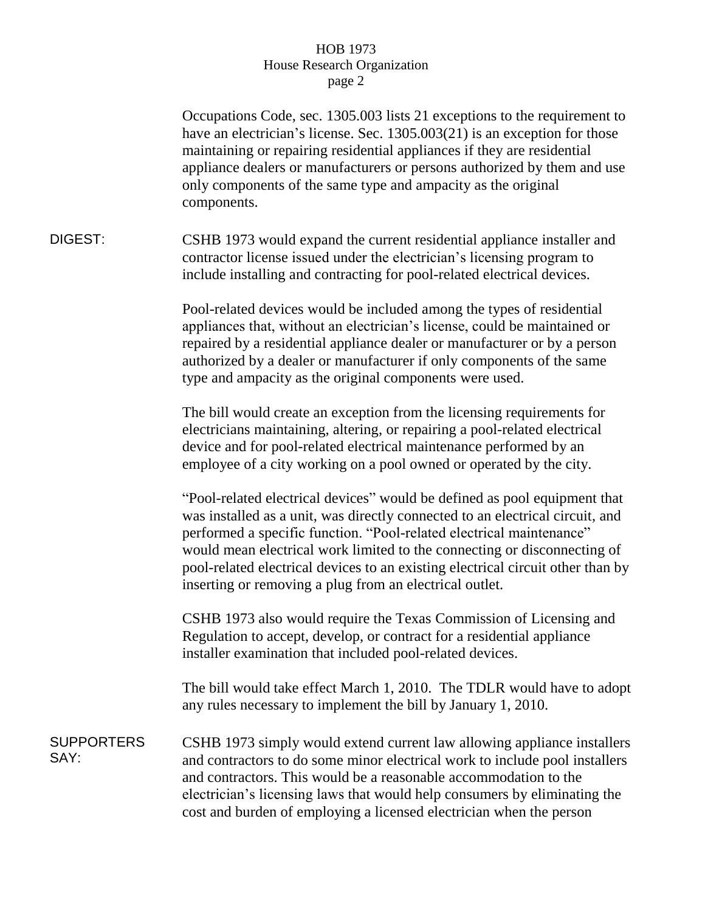## HOB 1973 House Research Organization page 2

|                           | Occupations Code, sec. 1305.003 lists 21 exceptions to the requirement to<br>have an electrician's license. Sec. $1305.003(21)$ is an exception for those<br>maintaining or repairing residential appliances if they are residential<br>appliance dealers or manufacturers or persons authorized by them and use<br>only components of the same type and ampacity as the original<br>components.                                                             |
|---------------------------|--------------------------------------------------------------------------------------------------------------------------------------------------------------------------------------------------------------------------------------------------------------------------------------------------------------------------------------------------------------------------------------------------------------------------------------------------------------|
| DIGEST:                   | CSHB 1973 would expand the current residential appliance installer and<br>contractor license issued under the electrician's licensing program to<br>include installing and contracting for pool-related electrical devices.                                                                                                                                                                                                                                  |
|                           | Pool-related devices would be included among the types of residential<br>appliances that, without an electrician's license, could be maintained or<br>repaired by a residential appliance dealer or manufacturer or by a person<br>authorized by a dealer or manufacturer if only components of the same<br>type and ampacity as the original components were used.                                                                                          |
|                           | The bill would create an exception from the licensing requirements for<br>electricians maintaining, altering, or repairing a pool-related electrical<br>device and for pool-related electrical maintenance performed by an<br>employee of a city working on a pool owned or operated by the city.                                                                                                                                                            |
|                           | "Pool-related electrical devices" would be defined as pool equipment that<br>was installed as a unit, was directly connected to an electrical circuit, and<br>performed a specific function. "Pool-related electrical maintenance"<br>would mean electrical work limited to the connecting or disconnecting of<br>pool-related electrical devices to an existing electrical circuit other than by<br>inserting or removing a plug from an electrical outlet. |
|                           | CSHB 1973 also would require the Texas Commission of Licensing and<br>Regulation to accept, develop, or contract for a residential appliance<br>installer examination that included pool-related devices.                                                                                                                                                                                                                                                    |
|                           | The bill would take effect March 1, 2010. The TDLR would have to adopt<br>any rules necessary to implement the bill by January 1, 2010.                                                                                                                                                                                                                                                                                                                      |
| <b>SUPPORTERS</b><br>SAY: | CSHB 1973 simply would extend current law allowing appliance installers<br>and contractors to do some minor electrical work to include pool installers<br>and contractors. This would be a reasonable accommodation to the<br>electrician's licensing laws that would help consumers by eliminating the<br>cost and burden of employing a licensed electrician when the person                                                                               |